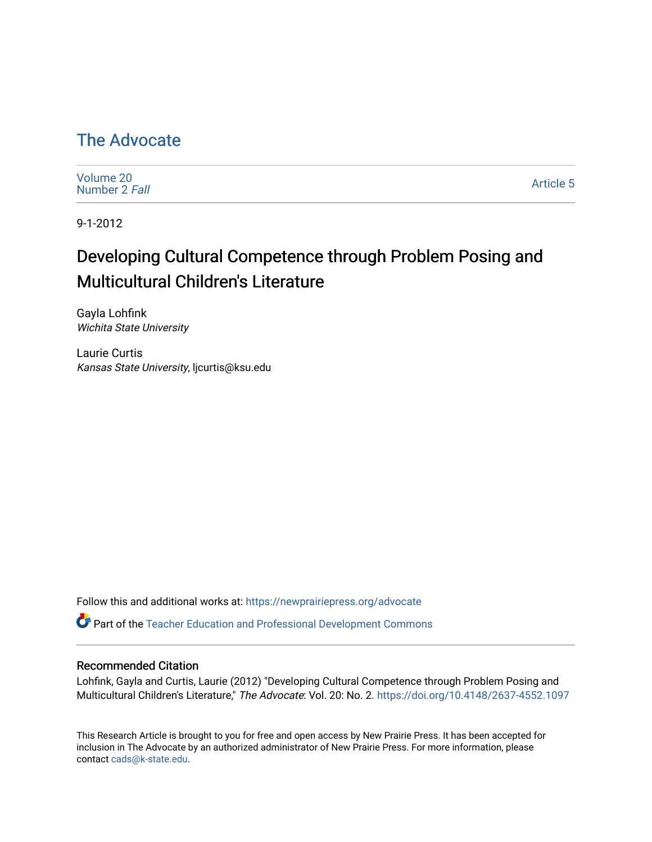## [The Advocate](https://newprairiepress.org/advocate)

[Volume 20](https://newprairiepress.org/advocate/vol20) [Number 2](https://newprairiepress.org/advocate/vol20/iss2) Fall

[Article 5](https://newprairiepress.org/advocate/vol20/iss2/5) 

9-1-2012

# Developing Cultural Competence through Problem Posing and Multicultural Children's Literature

Gayla Lohfink Wichita State University

Laurie Curtis Kansas State University, ljcurtis@ksu.edu

Follow this and additional works at: [https://newprairiepress.org/advocate](https://newprairiepress.org/advocate?utm_source=newprairiepress.org%2Fadvocate%2Fvol20%2Fiss2%2F5&utm_medium=PDF&utm_campaign=PDFCoverPages) 

Part of the [Teacher Education and Professional Development Commons](http://network.bepress.com/hgg/discipline/803?utm_source=newprairiepress.org%2Fadvocate%2Fvol20%2Fiss2%2F5&utm_medium=PDF&utm_campaign=PDFCoverPages) 

#### Recommended Citation

Lohfink, Gayla and Curtis, Laurie (2012) "Developing Cultural Competence through Problem Posing and Multicultural Children's Literature," The Advocate: Vol. 20: No. 2.<https://doi.org/10.4148/2637-4552.1097>

This Research Article is brought to you for free and open access by New Prairie Press. It has been accepted for inclusion in The Advocate by an authorized administrator of New Prairie Press. For more information, please contact [cads@k-state.edu](mailto:cads@k-state.edu).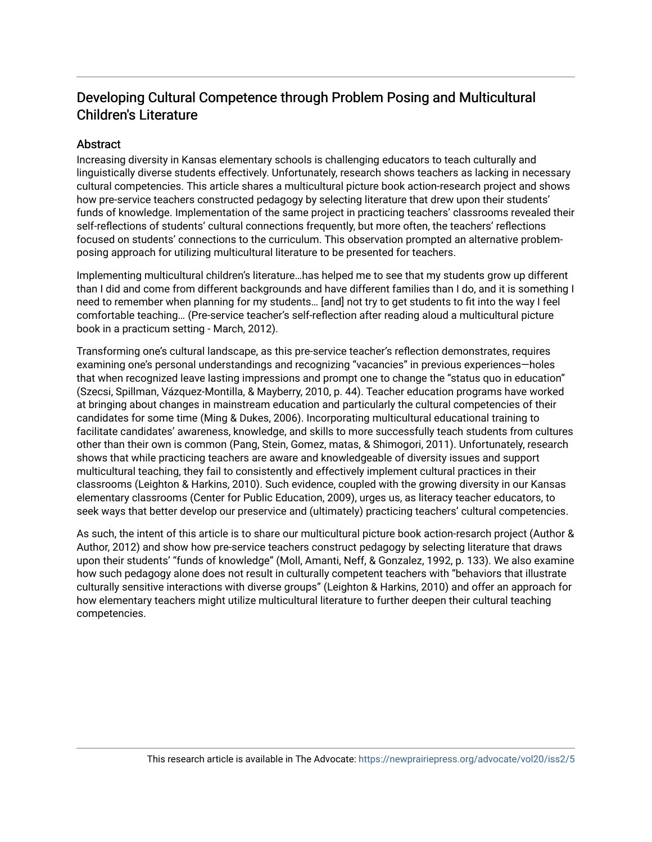## Developing Cultural Competence through Problem Posing and Multicultural Children's Literature

#### **Abstract**

Increasing diversity in Kansas elementary schools is challenging educators to teach culturally and linguistically diverse students effectively. Unfortunately, research shows teachers as lacking in necessary cultural competencies. This article shares a multicultural picture book action-research project and shows how pre-service teachers constructed pedagogy by selecting literature that drew upon their students' funds of knowledge. Implementation of the same project in practicing teachers' classrooms revealed their self-reflections of students' cultural connections frequently, but more often, the teachers' reflections focused on students' connections to the curriculum. This observation prompted an alternative problemposing approach for utilizing multicultural literature to be presented for teachers.

Implementing multicultural children's literature…has helped me to see that my students grow up different than I did and come from different backgrounds and have different families than I do, and it is something I need to remember when planning for my students… [and] not try to get students to fit into the way I feel comfortable teaching… (Pre-service teacher's self-reflection after reading aloud a multicultural picture book in a practicum setting - March, 2012).

Transforming one's cultural landscape, as this pre-service teacher's reflection demonstrates, requires examining one's personal understandings and recognizing "vacancies" in previous experiences—holes that when recognized leave lasting impressions and prompt one to change the "status quo in education" (Szecsi, Spillman, Vázquez-Montilla, & Mayberry, 2010, p. 44). Teacher education programs have worked at bringing about changes in mainstream education and particularly the cultural competencies of their candidates for some time (Ming & Dukes, 2006). Incorporating multicultural educational training to facilitate candidates' awareness, knowledge, and skills to more successfully teach students from cultures other than their own is common (Pang, Stein, Gomez, matas, & Shimogori, 2011). Unfortunately, research shows that while practicing teachers are aware and knowledgeable of diversity issues and support multicultural teaching, they fail to consistently and effectively implement cultural practices in their classrooms (Leighton & Harkins, 2010). Such evidence, coupled with the growing diversity in our Kansas elementary classrooms (Center for Public Education, 2009), urges us, as literacy teacher educators, to seek ways that better develop our preservice and (ultimately) practicing teachers' cultural competencies.

As such, the intent of this article is to share our multicultural picture book action-resarch project (Author & Author, 2012) and show how pre-service teachers construct pedagogy by selecting literature that draws upon their students' "funds of knowledge" (Moll, Amanti, Neff, & Gonzalez, 1992, p. 133). We also examine how such pedagogy alone does not result in culturally competent teachers with "behaviors that illustrate culturally sensitive interactions with diverse groups" (Leighton & Harkins, 2010) and offer an approach for how elementary teachers might utilize multicultural literature to further deepen their cultural teaching competencies.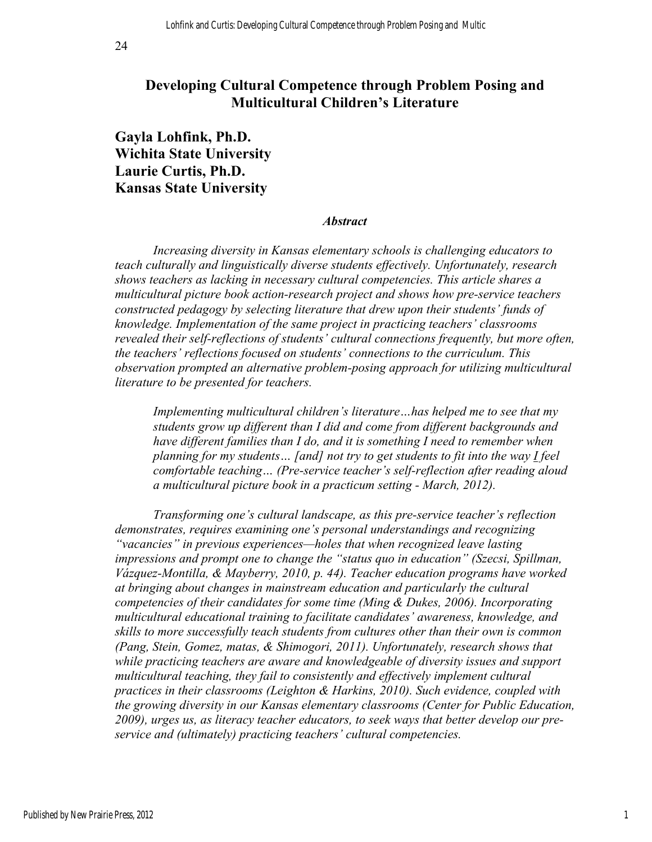24

## **Developing Cultural Competence through Problem Posing and Multicultural Children's Literature**

## **Gayla Lohfink, Ph.D. Wichita State University Laurie Curtis, Ph.D. Kansas State University**

#### *Abstract*

*Increasing diversity in Kansas elementary schools is challenging educators to teach culturally and linguistically diverse students effectively. Unfortunately, research shows teachers as lacking in necessary cultural competencies. This article shares a multicultural picture book action-research project and shows how pre-service teachers constructed pedagogy by selecting literature that drew upon their students' funds of knowledge. Implementation of the same project in practicing teachers' classrooms revealed their self-reflections of students' cultural connections frequently, but more often, the teachers' reflections focused on students' connections to the curriculum. This observation prompted an alternative problem-posing approach for utilizing multicultural literature to be presented for teachers.*

*Implementing multicultural children's literature…has helped me to see that my students grow up different than I did and come from different backgrounds and have different families than I do, and it is something I need to remember when planning for my students… [and] not try to get students to fit into the way I feel comfortable teaching… (Pre-service teacher's self-reflection after reading aloud a multicultural picture book in a practicum setting - March, 2012).*

*Transforming one's cultural landscape, as this pre-service teacher's reflection demonstrates, requires examining one's personal understandings and recognizing "vacancies" in previous experiences—holes that when recognized leave lasting impressions and prompt one to change the "status quo in education" (Szecsi, Spillman, Vázquez-Montilla, & Mayberry, 2010, p. 44). Teacher education programs have worked at bringing about changes in mainstream education and particularly the cultural competencies of their candidates for some time (Ming & Dukes, 2006). Incorporating multicultural educational training to facilitate candidates' awareness, knowledge, and skills to more successfully teach students from cultures other than their own is common (Pang, Stein, Gomez, matas, & Shimogori, 2011). Unfortunately, research shows that while practicing teachers are aware and knowledgeable of diversity issues and support multicultural teaching, they fail to consistently and effectively implement cultural practices in their classrooms (Leighton & Harkins, 2010). Such evidence, coupled with the growing diversity in our Kansas elementary classrooms (Center for Public Education, 2009), urges us, as literacy teacher educators, to seek ways that better develop our preservice and (ultimately) practicing teachers' cultural competencies.*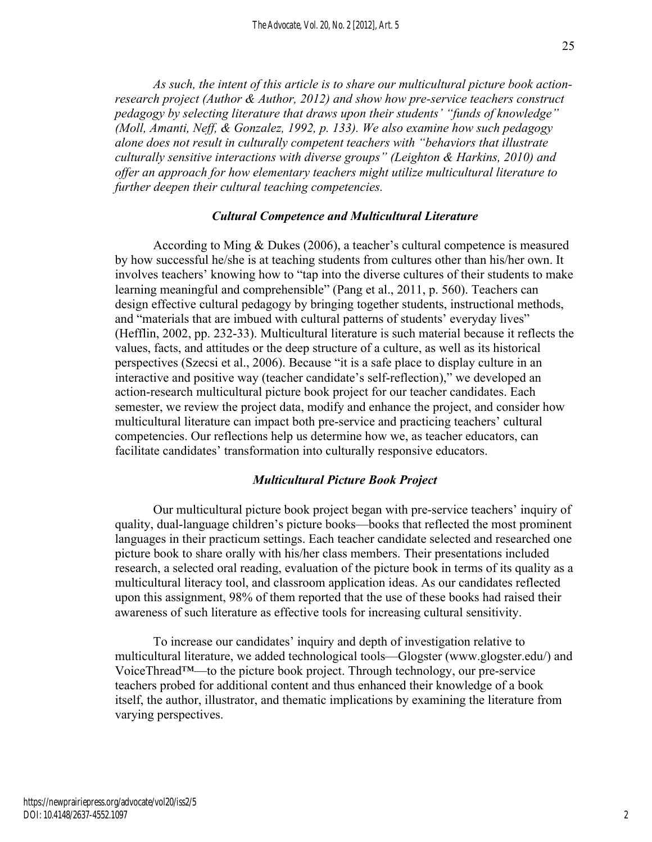*As such, the intent of this article is to share our multicultural picture book actionresearch project (Author & Author, 2012) and show how pre-service teachers construct pedagogy by selecting literature that draws upon their students' "funds of knowledge" (Moll, Amanti, Neff, & Gonzalez, 1992, p. 133). We also examine how such pedagogy alone does not result in culturally competent teachers with "behaviors that illustrate culturally sensitive interactions with diverse groups" (Leighton & Harkins, 2010) and offer an approach for how elementary teachers might utilize multicultural literature to further deepen their cultural teaching competencies.*

#### *Cultural Competence and Multicultural Literature*

According to Ming & Dukes (2006), a teacher's cultural competence is measured by how successful he/she is at teaching students from cultures other than his/her own. It involves teachers' knowing how to "tap into the diverse cultures of their students to make learning meaningful and comprehensible" (Pang et al., 2011, p. 560). Teachers can design effective cultural pedagogy by bringing together students, instructional methods, and "materials that are imbued with cultural patterns of students' everyday lives" (Hefflin, 2002, pp. 232-33). Multicultural literature is such material because it reflects the values, facts, and attitudes or the deep structure of a culture, as well as its historical perspectives (Szecsi et al., 2006). Because "it is a safe place to display culture in an interactive and positive way (teacher candidate's self-reflection)," we developed an action-research multicultural picture book project for our teacher candidates. Each semester, we review the project data, modify and enhance the project, and consider how multicultural literature can impact both pre-service and practicing teachers' cultural competencies. Our reflections help us determine how we, as teacher educators, can facilitate candidates' transformation into culturally responsive educators.

#### *Multicultural Picture Book Project*

Our multicultural picture book project began with pre-service teachers' inquiry of quality, dual-language children's picture books—books that reflected the most prominent languages in their practicum settings. Each teacher candidate selected and researched one picture book to share orally with his/her class members. Their presentations included research, a selected oral reading, evaluation of the picture book in terms of its quality as a multicultural literacy tool, and classroom application ideas. As our candidates reflected upon this assignment, 98% of them reported that the use of these books had raised their awareness of such literature as effective tools for increasing cultural sensitivity.

To increase our candidates' inquiry and depth of investigation relative to multicultural literature, we added technological tools—Glogster (www.glogster.edu/) and VoiceThread™—to the picture book project. Through technology, our pre-service teachers probed for additional content and thus enhanced their knowledge of a book itself, the author, illustrator, and thematic implications by examining the literature from varying perspectives.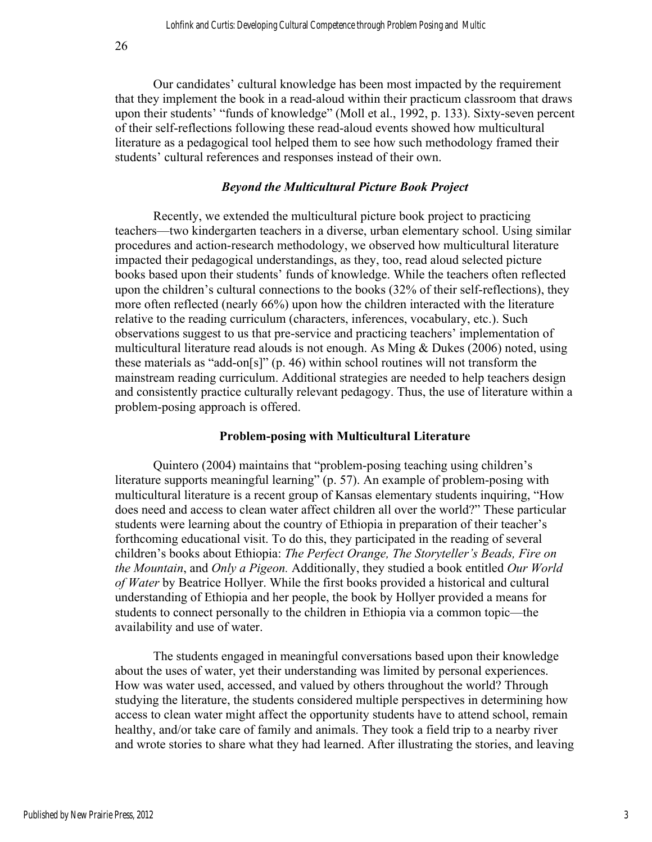Our candidates' cultural knowledge has been most impacted by the requirement that they implement the book in a read-aloud within their practicum classroom that draws upon their students' "funds of knowledge" (Moll et al., 1992, p. 133). Sixty-seven percent of their self-reflections following these read-aloud events showed how multicultural literature as a pedagogical tool helped them to see how such methodology framed their students' cultural references and responses instead of their own.

#### *Beyond the Multicultural Picture Book Project*

Recently, we extended the multicultural picture book project to practicing teachers—two kindergarten teachers in a diverse, urban elementary school. Using similar procedures and action-research methodology, we observed how multicultural literature impacted their pedagogical understandings, as they, too, read aloud selected picture books based upon their students' funds of knowledge. While the teachers often reflected upon the children's cultural connections to the books (32% of their self-reflections), they more often reflected (nearly 66%) upon how the children interacted with the literature relative to the reading curriculum (characters, inferences, vocabulary, etc.). Such observations suggest to us that pre-service and practicing teachers' implementation of multicultural literature read alouds is not enough. As Ming & Dukes (2006) noted, using these materials as "add-on[s]" (p. 46) within school routines will not transform the mainstream reading curriculum. Additional strategies are needed to help teachers design and consistently practice culturally relevant pedagogy. Thus, the use of literature within a problem-posing approach is offered.

#### **Problem-posing with Multicultural Literature**

Quintero (2004) maintains that "problem-posing teaching using children's literature supports meaningful learning" (p. 57). An example of problem-posing with multicultural literature is a recent group of Kansas elementary students inquiring, "How does need and access to clean water affect children all over the world?" These particular students were learning about the country of Ethiopia in preparation of their teacher's forthcoming educational visit. To do this, they participated in the reading of several children's books about Ethiopia: *The Perfect Orange, The Storyteller's Beads, Fire on the Mountain*, and *Only a Pigeon.* Additionally, they studied a book entitled *Our World of Water* by Beatrice Hollyer. While the first books provided a historical and cultural understanding of Ethiopia and her people, the book by Hollyer provided a means for students to connect personally to the children in Ethiopia via a common topic—the availability and use of water.

The students engaged in meaningful conversations based upon their knowledge about the uses of water, yet their understanding was limited by personal experiences. How was water used, accessed, and valued by others throughout the world? Through studying the literature, the students considered multiple perspectives in determining how access to clean water might affect the opportunity students have to attend school, remain healthy, and/or take care of family and animals. They took a field trip to a nearby river and wrote stories to share what they had learned. After illustrating the stories, and leaving